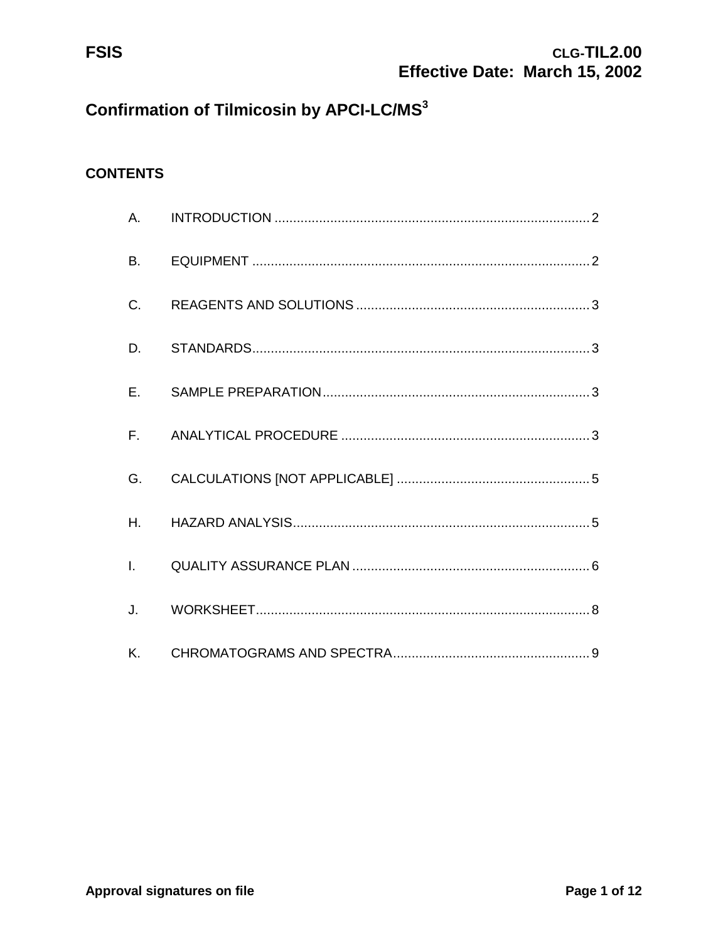**FSIS** 

# **Confirmation of Tilmicosin by APCI-LC/MS3**

## **CONTENTS**

| <b>B.</b>    |  |
|--------------|--|
| C.           |  |
| D.           |  |
| E.           |  |
| $F_{\rm{H}}$ |  |
| G.           |  |
| Η.           |  |
|              |  |
| J.           |  |
| Κ.           |  |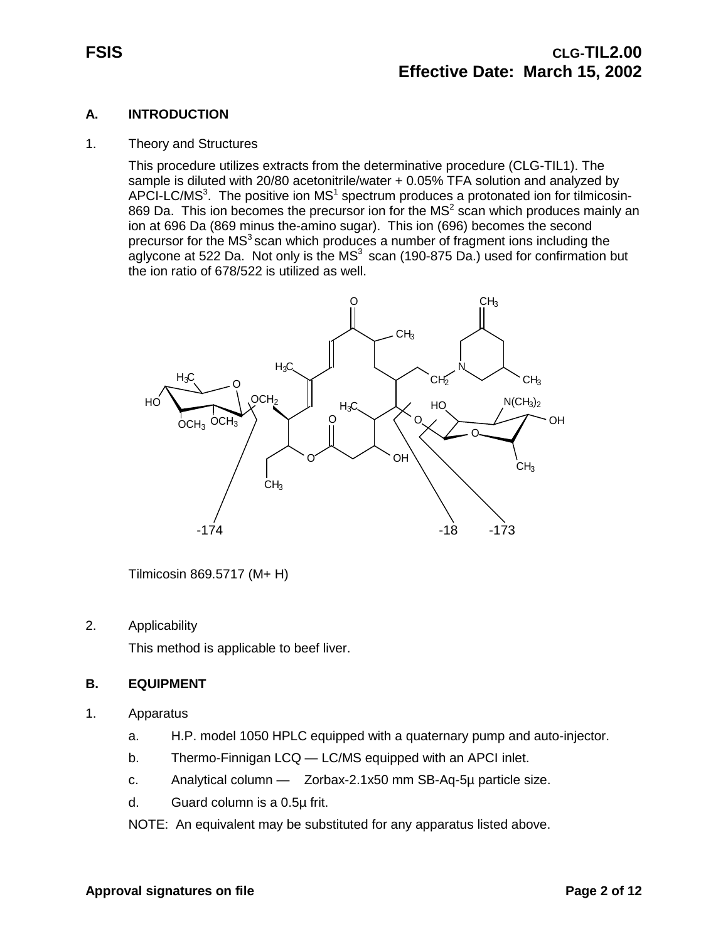#### **A. INTRODUCTION**

#### 1. Theory and Structures

This procedure utilizes extracts from the determinative procedure (CLG-TIL1). The sample is diluted with 20/80 acetonitrile/water + 0.05% TFA solution and analyzed by APCI-LC/MS<sup>3</sup>. The positive ion MS<sup>1</sup> spectrum produces a protonated ion for tilmicosin-869 Da. This ion becomes the precursor ion for the  $MS<sup>2</sup>$  scan which produces mainly an ion at 696 Da (869 minus the-amino sugar). This ion (696) becomes the second precursor for the  $MS<sup>3</sup>$  scan which produces a number of fragment ions including the aglycone at 522 Da. Not only is the  $MS<sup>3</sup>$  scan (190-875 Da.) used for confirmation but the ion ratio of 678/522 is utilized as well.



Tilmicosin 869.5717 (M+ H)

#### 2. Applicability

This method is applicable to beef liver.

#### **B. EQUIPMENT**

- 1. Apparatus
	- a. H.P. model 1050 HPLC equipped with a quaternary pump and auto-injector.
	- b. Thermo-Finnigan LCQ LC/MS equipped with an APCI inlet.
	- c. Analytical column Zorbax-2.1x50 mm SB-Aq-5µ particle size.
	- d. Guard column is a 0.5µ frit.
	- NOTE: An equivalent may be substituted for any apparatus listed above.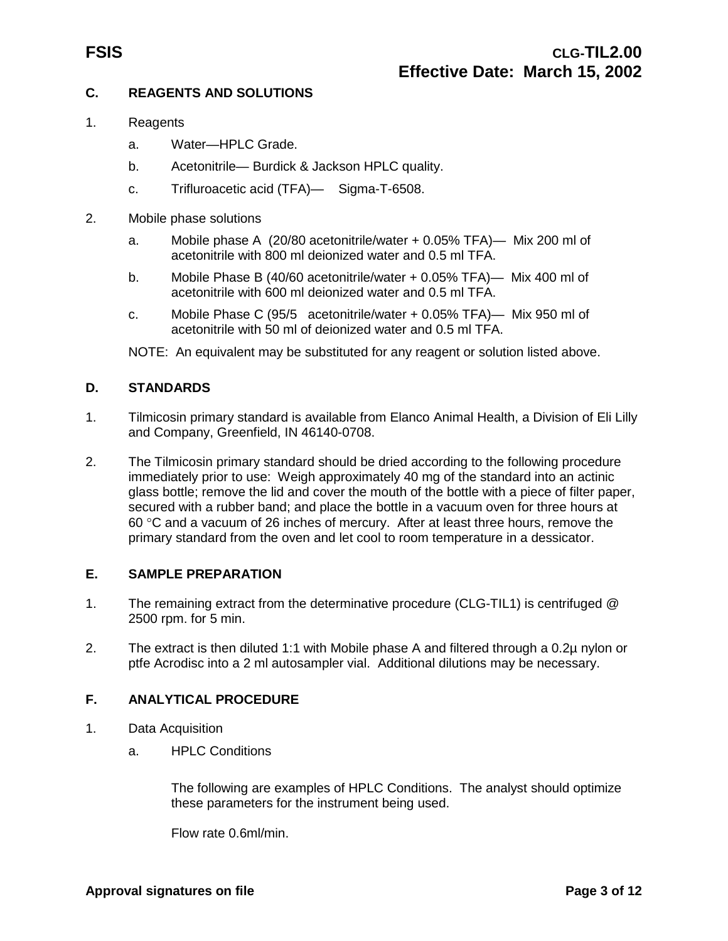#### **C. REAGENTS AND SOLUTIONS**

- 1. Reagents
	- a. Water—HPLC Grade.
	- b. Acetonitrile— Burdick & Jackson HPLC quality.
	- c. Trifluroacetic acid (TFA)— Sigma-T-6508.
- 2. Mobile phase solutions
	- a. Mobile phase A (20/80 acetonitrile/water + 0.05% TFA)— Mix 200 ml of acetonitrile with 800 ml deionized water and 0.5 ml TFA.
	- b. Mobile Phase B (40/60 acetonitrile/water + 0.05% TFA)— Mix 400 ml of acetonitrile with 600 ml deionized water and 0.5 ml TFA.
	- c. Mobile Phase C (95/5 acetonitrile/water + 0.05% TFA)— Mix 950 ml of acetonitrile with 50 ml of deionized water and 0.5 ml TFA.

NOTE: An equivalent may be substituted for any reagent or solution listed above.

#### **D. STANDARDS**

- 1. Tilmicosin primary standard is available from Elanco Animal Health, a Division of Eli Lilly and Company, Greenfield, IN 46140-0708.
- 2. The Tilmicosin primary standard should be dried according to the following procedure immediately prior to use: Weigh approximately 40 mg of the standard into an actinic glass bottle; remove the lid and cover the mouth of the bottle with a piece of filter paper, secured with a rubber band; and place the bottle in a vacuum oven for three hours at 60 °C and a vacuum of 26 inches of mercury. After at least three hours, remove the primary standard from the oven and let cool to room temperature in a dessicator.

#### **E. SAMPLE PREPARATION**

- 1. The remaining extract from the determinative procedure (CLG-TIL1) is centrifuged @ 2500 rpm. for 5 min.
- 2. The extract is then diluted 1:1 with Mobile phase A and filtered through a 0.2µ nylon or ptfe Acrodisc into a 2 ml autosampler vial. Additional dilutions may be necessary.

#### **F. ANALYTICAL PROCEDURE**

- 1. Data Acquisition
	- a. HPLC Conditions

The following are examples of HPLC Conditions. The analyst should optimize these parameters for the instrument being used.

Flow rate 0.6ml/min.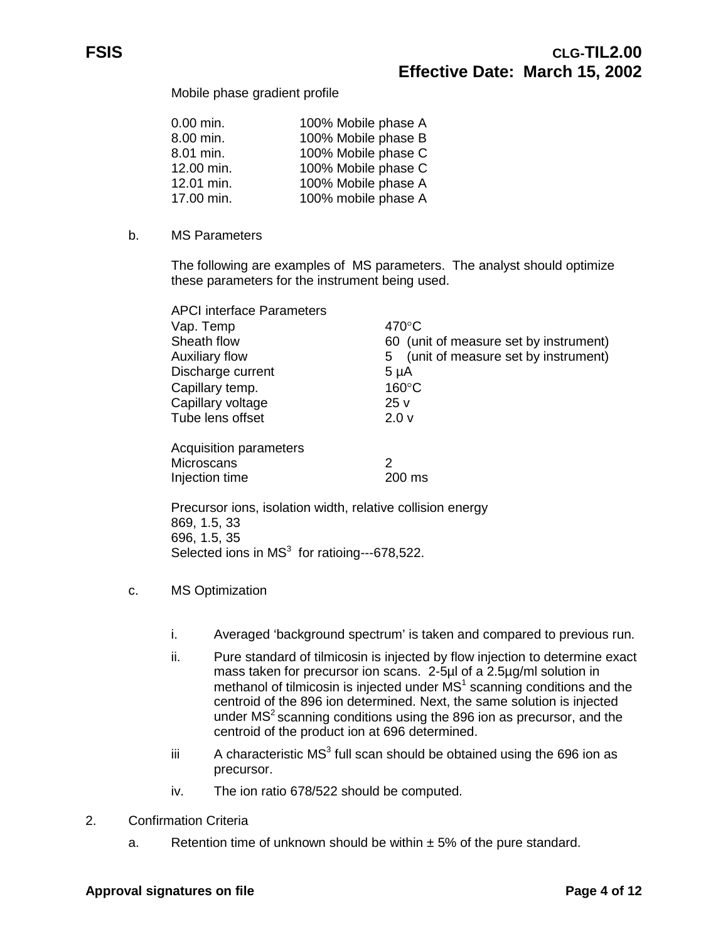Mobile phase gradient profile

| $0.00$ min. | 100% Mobile phase A |
|-------------|---------------------|
| 8.00 min.   | 100% Mobile phase B |
| 8.01 min.   | 100% Mobile phase C |
| 12.00 min.  | 100% Mobile phase C |
| 12.01 min.  | 100% Mobile phase A |
| 17.00 min.  | 100% mobile phase A |

b. MS Parameters

The following are examples of MS parameters. The analyst should optimize these parameters for the instrument being used.

| <b>APCI</b> interface Parameters |                                           |
|----------------------------------|-------------------------------------------|
| Vap. Temp                        | $470^{\circ}$ C                           |
| Sheath flow                      | 60 (unit of measure set by instrument)    |
| <b>Auxiliary flow</b>            | (unit of measure set by instrument)<br>5. |
| Discharge current                | $5 \mu A$                                 |
| Capillary temp.                  | $160^{\circ}$ C                           |
| Capillary voltage                | 25 v                                      |
| Tube lens offset                 | 2.0 <sub>v</sub>                          |
| Acquisition parameters           |                                           |
| Microscans                       | 2                                         |
| Injection time                   | 200 ms                                    |

Precursor ions, isolation width, relative collision energy 869, 1.5, 33 696, 1.5, 35 Selected ions in  $MS<sup>3</sup>$  for ratioing---678,522.

- c. MS Optimization
	- i. Averaged 'background spectrum' is taken and compared to previous run.
	- ii. Pure standard of tilmicosin is injected by flow injection to determine exact mass taken for precursor ion scans. 2-5µl of a 2.5µg/ml solution in methanol of tilmicosin is injected under  $MS<sup>1</sup>$  scanning conditions and the centroid of the 896 ion determined. Next, the same solution is injected under  $MS<sup>2</sup>$  scanning conditions using the 896 ion as precursor, and the centroid of the product ion at 696 determined.
	- iii  $\blacksquare$  A characteristic MS<sup>3</sup> full scan should be obtained using the 696 ion as precursor.
	- iv. The ion ratio 678/522 should be computed.
- 2. Confirmation Criteria
	- a. Retention time of unknown should be within  $\pm$  5% of the pure standard.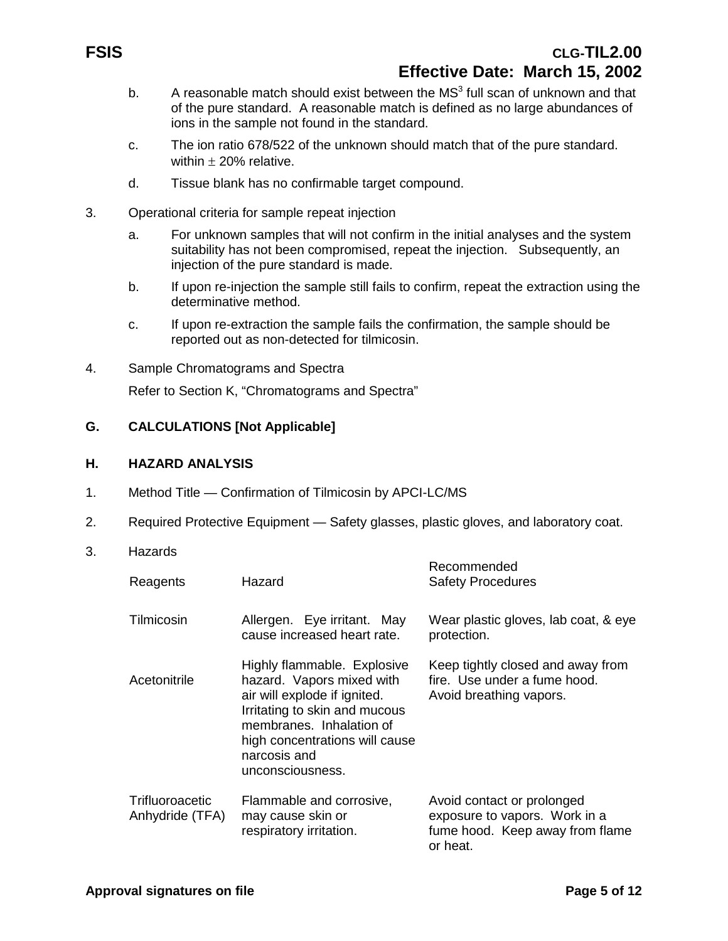## **FSIS CLG-TIL2.00 Effective Date: March 15, 2002**

- b. A reasonable match should exist between the  $MS<sup>3</sup>$  full scan of unknown and that of the pure standard. A reasonable match is defined as no large abundances of ions in the sample not found in the standard.
- c. The ion ratio 678/522 of the unknown should match that of the pure standard. within  $\pm$  20% relative.
- d. Tissue blank has no confirmable target compound.
- 3. Operational criteria for sample repeat injection
	- a. For unknown samples that will not confirm in the initial analyses and the system suitability has not been compromised, repeat the injection. Subsequently, an injection of the pure standard is made.
	- b. If upon re-injection the sample still fails to confirm, repeat the extraction using the determinative method.
	- c. If upon re-extraction the sample fails the confirmation, the sample should be reported out as non-detected for tilmicosin.
- 4. Sample Chromatograms and Spectra

Refer to Section K, "Chromatograms and Spectra"

#### **G. CALCULATIONS [Not Applicable]**

#### **H. HAZARD ANALYSIS**

- 1. Method Title Confirmation of Tilmicosin by APCI-LC/MS
- 2. Required Protective Equipment Safety glasses, plastic gloves, and laboratory coat.
- 3. Hazards

| Reagents                                  | Hazard                                                                                                                                                                                                                      | Recommended<br><b>Safety Procedures</b>                                                                    |
|-------------------------------------------|-----------------------------------------------------------------------------------------------------------------------------------------------------------------------------------------------------------------------------|------------------------------------------------------------------------------------------------------------|
| Tilmicosin                                | Allergen. Eye irritant. May<br>cause increased heart rate.                                                                                                                                                                  | Wear plastic gloves, lab coat, & eye<br>protection.                                                        |
| Acetonitrile                              | Highly flammable. Explosive<br>hazard. Vapors mixed with<br>air will explode if ignited.<br>Irritating to skin and mucous<br>membranes. Inhalation of<br>high concentrations will cause<br>narcosis and<br>unconsciousness. | Keep tightly closed and away from<br>fire. Use under a fume hood.<br>Avoid breathing vapors.               |
| <b>Trifluoroacetic</b><br>Anhydride (TFA) | Flammable and corrosive,<br>may cause skin or<br>respiratory irritation.                                                                                                                                                    | Avoid contact or prolonged<br>exposure to vapors. Work in a<br>fume hood. Keep away from flame<br>or heat. |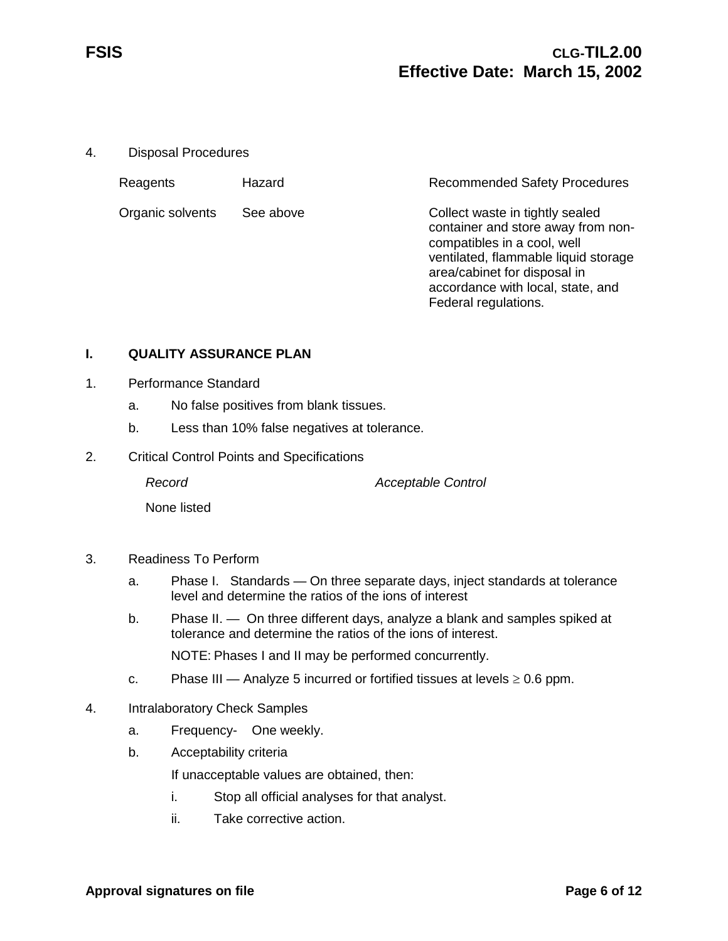4. Disposal Procedures

| Reagents         | Hazard    | <b>Recommended Safety Procedures</b>                                                                                                                                                                                                      |
|------------------|-----------|-------------------------------------------------------------------------------------------------------------------------------------------------------------------------------------------------------------------------------------------|
| Organic solvents | See above | Collect waste in tightly sealed<br>container and store away from non-<br>compatibles in a cool, well<br>ventilated, flammable liquid storage<br>area/cabinet for disposal in<br>accordance with local, state, and<br>Federal regulations. |

#### **I. QUALITY ASSURANCE PLAN**

- 1. Performance Standard
	- a. No false positives from blank tissues.
	- b. Less than 10% false negatives at tolerance.
- 2. Critical Control Points and Specifications

*Record Acceptable Control*

None listed

- 3. Readiness To Perform
	- a. Phase I. Standards On three separate days, inject standards at tolerance level and determine the ratios of the ions of interest
	- b. Phase II. On three different days, analyze a blank and samples spiked at tolerance and determine the ratios of the ions of interest.

NOTE: Phases I and II may be performed concurrently.

- c. Phase III Analyze 5 incurred or fortified tissues at levels  $\geq 0.6$  ppm.
- 4. Intralaboratory Check Samples
	- a. Frequency- One weekly.
	- b. Acceptability criteria

If unacceptable values are obtained, then:

- i. Stop all official analyses for that analyst.
- ii. Take corrective action.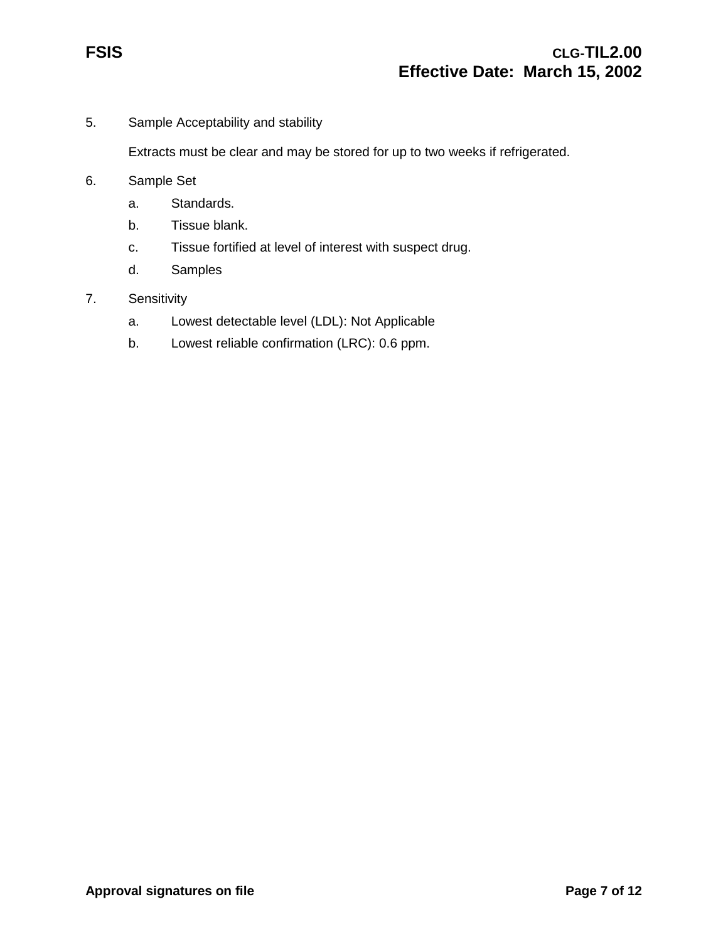5. Sample Acceptability and stability

Extracts must be clear and may be stored for up to two weeks if refrigerated.

- 6. Sample Set
	- a. Standards.
	- b. Tissue blank.
	- c. Tissue fortified at level of interest with suspect drug.
	- d. Samples
- 7. Sensitivity
	- a. Lowest detectable level (LDL): Not Applicable
	- b. Lowest reliable confirmation (LRC): 0.6 ppm.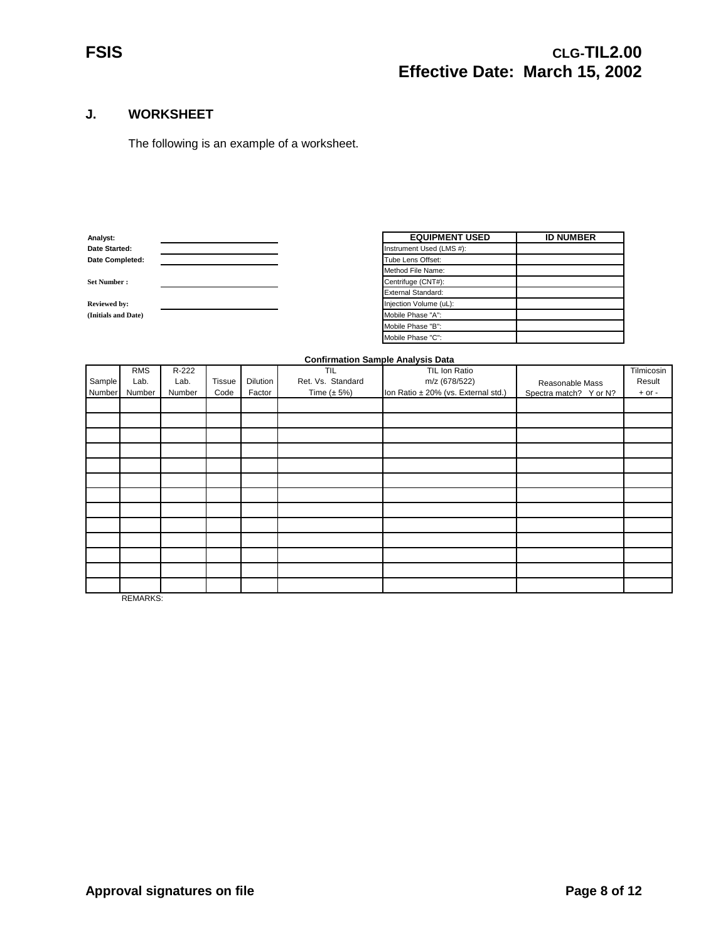#### **J. WORKSHEET**

The following is an example of a worksheet.

| Anaivst:            |  | EWVIFMENT                 |
|---------------------|--|---------------------------|
| Date Started:       |  | Instrument Used (LMS #):  |
| Date Completed:     |  | Tube Lens Offset:         |
|                     |  | Method File Name:         |
| <b>Set Number:</b>  |  | Centrifuge (CNT#):        |
|                     |  | <b>External Standard:</b> |
| <b>Reviewed by:</b> |  | Injection Volume (uL):    |
| (Initials and Date) |  | Mobile Phase "A":         |
|                     |  |                           |

| Analyst:            | <b>EQUIPMENT USED</b>     | <b>ID NUMBER</b> |
|---------------------|---------------------------|------------------|
| Date Started:       | Instrument Used (LMS #):  |                  |
| Date Completed:     | Tube Lens Offset:         |                  |
|                     | Method File Name:         |                  |
| <b>Set Number :</b> | Centrifuge (CNT#):        |                  |
|                     | <b>External Standard:</b> |                  |
| <b>Reviewed by:</b> | Injection Volume (uL):    |                  |
| (Initials and Date) | Mobile Phase "A":         |                  |
|                     | Mobile Phase "B":         |                  |
|                     | Mobile Phase "C":         |                  |

#### **Confirmation Sample Analysis Data**

|        |            |        |               |          |                   | . .                                 |                        |            |
|--------|------------|--------|---------------|----------|-------------------|-------------------------------------|------------------------|------------|
|        | <b>RMS</b> | R-222  |               |          | TIL               | TIL Ion Ratio                       |                        | Tilmicosin |
| Sample | Lab.       | Lab.   | <b>Tissue</b> | Dilution | Ret. Vs. Standard | m/z (678/522)                       | Reasonable Mass        | Result     |
| Number | Number     | Number | Code          | Factor   | Time $(\pm 5\%)$  | Ion Ratio ± 20% (vs. External std.) | Spectra match? Y or N? | $+$ or $-$ |
|        |            |        |               |          |                   |                                     |                        |            |
|        |            |        |               |          |                   |                                     |                        |            |
|        |            |        |               |          |                   |                                     |                        |            |
|        |            |        |               |          |                   |                                     |                        |            |
|        |            |        |               |          |                   |                                     |                        |            |
|        |            |        |               |          |                   |                                     |                        |            |
|        |            |        |               |          |                   |                                     |                        |            |
|        |            |        |               |          |                   |                                     |                        |            |
|        |            |        |               |          |                   |                                     |                        |            |
|        |            |        |               |          |                   |                                     |                        |            |
|        |            |        |               |          |                   |                                     |                        |            |
|        |            |        |               |          |                   |                                     |                        |            |
|        |            |        |               |          |                   |                                     |                        |            |
|        |            |        |               |          |                   |                                     |                        |            |

REMARKS: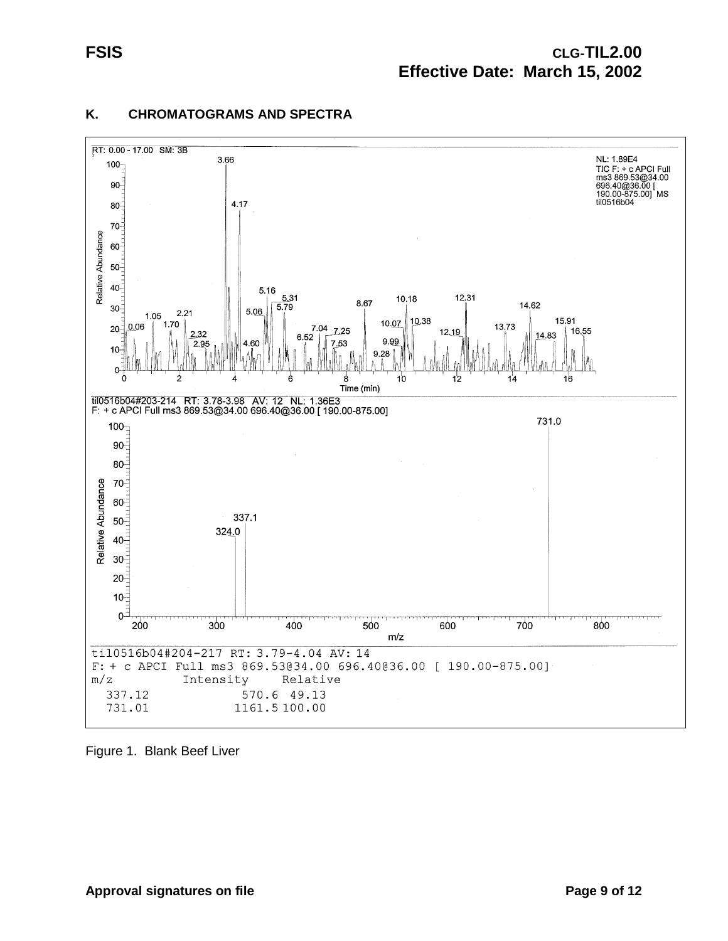

### **K. CHROMATOGRAMS AND SPECTRA**

Figure 1. Blank Beef Liver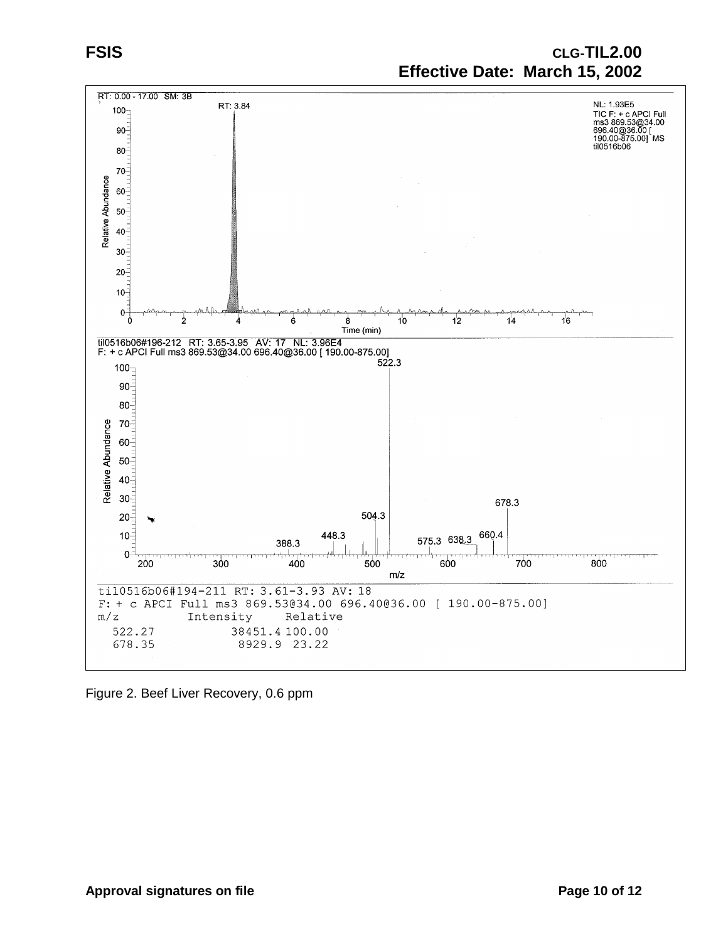## **FSIS CLG-TIL2.00 Effective Date: March 15, 2002**



Figure 2. Beef Liver Recovery, 0.6 ppm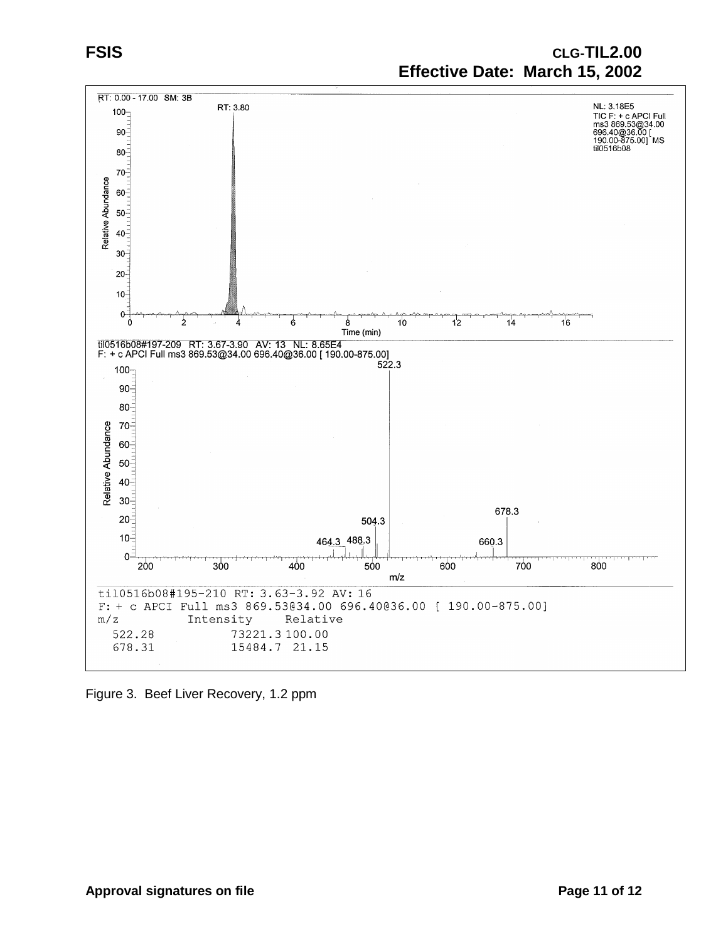

Figure 3. Beef Liver Recovery, 1.2 ppm